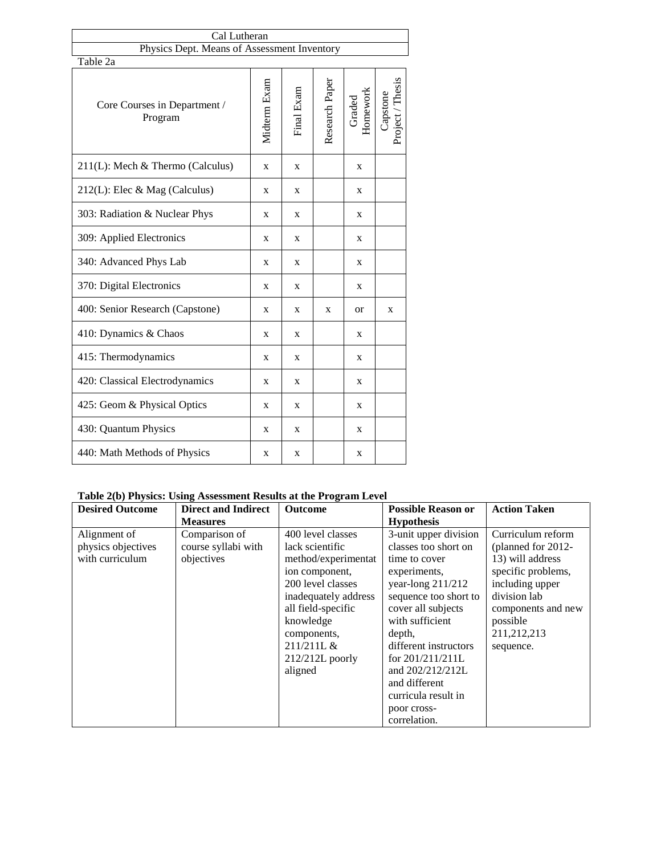| Cal Lutheran                                |   |            |                |                    |                              |
|---------------------------------------------|---|------------|----------------|--------------------|------------------------------|
| Physics Dept. Means of Assessment Inventory |   |            |                |                    |                              |
| Table 2a                                    |   |            |                |                    |                              |
| Core Courses in Department /<br>Program     |   | Final Exam | Research Paper | Graded<br>Homework | Capstone<br>Project / Thesis |
| $211(L)$ : Mech & Thermo (Calculus)         | X | X          |                | X                  |                              |
| $212(L)$ : Elec & Mag (Calculus)            | X | X          |                | X                  |                              |
| 303: Radiation & Nuclear Phys               | X | X          |                | X                  |                              |
| 309: Applied Electronics                    | X | X          |                | X                  |                              |
| 340: Advanced Phys Lab                      |   | X          |                | X                  |                              |
| 370: Digital Electronics                    |   | X          |                | X                  |                              |
| 400: Senior Research (Capstone)             |   | X          | X              | <b>or</b>          | X                            |
| 410: Dynamics & Chaos                       |   | X          |                | X                  |                              |
| 415: Thermodynamics                         | X | X          |                | X                  |                              |
| 420: Classical Electrodynamics              |   | X          |                | X                  |                              |
| 425: Geom & Physical Optics                 | X | X          |                | X                  |                              |
| 430: Quantum Physics                        |   | X          |                | X                  |                              |
| 440: Math Methods of Physics                |   | X          |                | X                  |                              |

## **Table 2(b) Physics: Using Assessment Results at the Program Level**

| <b>Desired Outcome</b>                                | <b>Direct and Indirect</b>                         | Outcome                                                                                                                                                       | <b>Possible Reason or</b>                                                                                                                                                  | <b>Action Taken</b>                                                                                                                                    |  |
|-------------------------------------------------------|----------------------------------------------------|---------------------------------------------------------------------------------------------------------------------------------------------------------------|----------------------------------------------------------------------------------------------------------------------------------------------------------------------------|--------------------------------------------------------------------------------------------------------------------------------------------------------|--|
|                                                       | <b>Measures</b>                                    |                                                                                                                                                               | <b>Hypothesis</b>                                                                                                                                                          |                                                                                                                                                        |  |
| Alignment of<br>physics objectives<br>with curriculum | Comparison of<br>course syllabi with<br>objectives | 400 level classes<br>lack scientific<br>method/experimentat<br>ion component,<br>200 level classes<br>inadequately address<br>all field-specific<br>knowledge | $3$ -unit upper division<br>classes too short on<br>time to cover<br>experiments,<br>year-long $211/212$<br>sequence too short to<br>cover all subjects<br>with sufficient | Curriculum reform<br>(planned for 2012-<br>13) will address<br>specific problems,<br>including upper<br>division lab<br>components and new<br>possible |  |
|                                                       |                                                    | components,<br>211/211L &<br>$212/212L$ poorly<br>aligned                                                                                                     | depth,<br>different instructors<br>for 201/211/211L<br>and 202/212/212L<br>and different<br>curricula result in<br>poor cross-<br>correlation.                             | 211,212,213<br>sequence.                                                                                                                               |  |